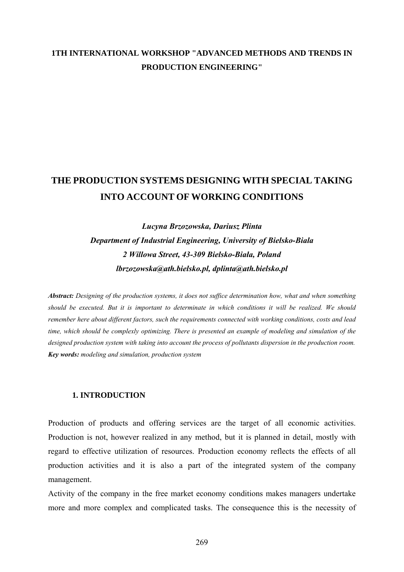# **1TH INTERNATIONAL WORKSHOP "ADVANCED METHODS AND TRENDS IN PRODUCTION ENGINEERING"**

# **THE PRODUCTION SYSTEMS DESIGNING WITH SPECIAL TAKING INTO ACCOUNT OF WORKING CONDITIONS**

*Lucyna Brzozowska, Dariusz Plinta Department of Industrial Engineering, University of Bielsko-Biala 2 Willowa Street, 43-309 Bielsko-Biała, Poland lbrzozowska@ath.bielsko.pl, dplinta@ath.bielsko.pl* 

*Abstract: Designing of the production systems, it does not suffice determination how, what and when something should be executed. But it is important to determinate in which conditions it will be realized. We should remember here about different factors, such the requirements connected with working conditions, costs and lead time, which should be complexly optimizing. There is presented an example of modeling and simulation of the designed production system with taking into account the process of pollutants dispersion in the production room. Key words: modeling and simulation, production system* 

#### **1. INTRODUCTION**

Production of products and offering services are the target of all economic activities. Production is not, however realized in any method, but it is planned in detail, mostly with regard to effective utilization of resources. Production economy reflects the effects of all production activities and it is also a part of the integrated system of the company management.

Activity of the company in the free market economy conditions makes managers undertake more and more complex and complicated tasks. The consequence this is the necessity of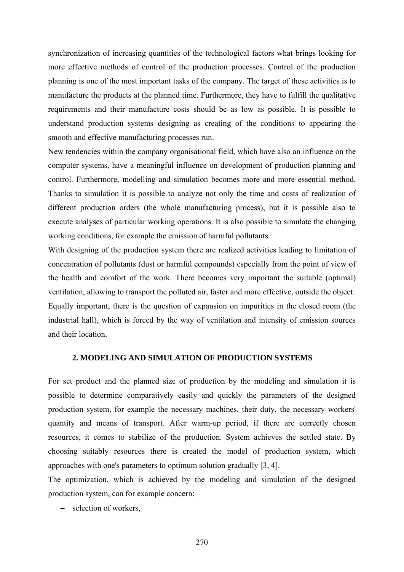synchronization of increasing quantities of the technological factors what brings looking for more effective methods of control of the production processes. Control of the production planning is one of the most important tasks of the company. The target of these activities is to manufacture the products at the planned time. Furthermore, they have to fulfill the qualitative requirements and their manufacture costs should be as low as possible. It is possible to understand production systems designing as creating of the conditions to appearing the smooth and effective manufacturing processes run.

New tendencies within the company organisational field, which have also an influence on the computer systems, have a meaningful influence on development of production planning and control. Furthermore, modelling and simulation becomes more and more essential method. Thanks to simulation it is possible to analyze not only the time and costs of realization of different production orders (the whole manufacturing process), but it is possible also to execute analyses of particular working operations. It is also possible to simulate the changing working conditions, for example the emission of harmful pollutants.

With designing of the production system there are realized activities leading to limitation of concentration of pollutants (dust or harmful compounds) especially from the point of view of the health and comfort of the work. There becomes very important the suitable (optimal) ventilation, allowing to transport the polluted air, faster and more effective, outside the object. Equally important, there is the question of expansion on impurities in the closed room (the industrial hall), which is forced by the way of ventilation and intensity of emission sources and their location.

#### **2. MODELING AND SIMULATION OF PRODUCTION SYSTEMS**

For set product and the planned size of production by the modeling and simulation it is possible to determine comparatively easily and quickly the parameters of the designed production system, for example the necessary machines, their duty, the necessary workers' quantity and means of transport. After warm-up period, if there are correctly chosen resources, it comes to stabilize of the production. System achieves the settled state. By choosing suitably resources there is created the model of production system, which approaches with one's parameters to optimum solution gradually [3, 4].

The optimization, which is achieved by the modeling and simulation of the designed production system, can for example concern:

− selection of workers,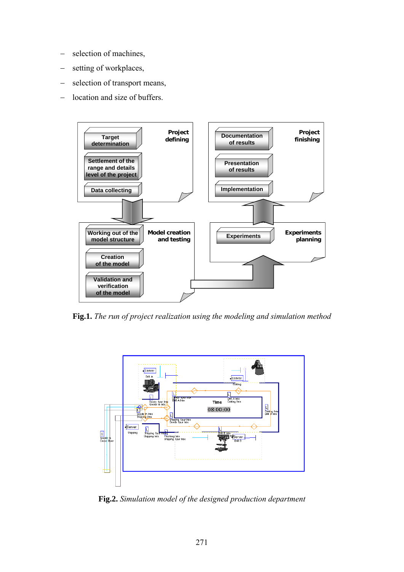- − selection of machines,
- setting of workplaces,
- − selection of transport means,
- − location and size of buffers.



**Fig.1.** *The run of project realization using the modeling and simulation method* 



**Fig.2.** *Simulation model of the designed production department*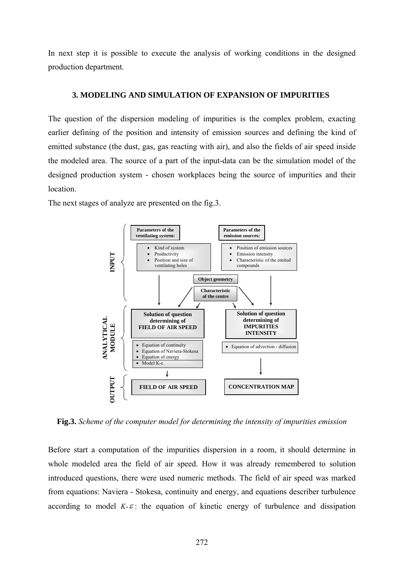In next step it is possible to execute the analysis of working conditions in the designed production department.

### **3. MODELING AND SIMULATION OF EXPANSION OF IMPURITIES**

The question of the dispersion modeling of impurities is the complex problem, exacting earlier defining of the position and intensity of emission sources and defining the kind of emitted substance (the dust, gas, gas reacting with air), and also the fields of air speed inside the modeled area. The source of a part of the input-data can be the simulation model of the designed production system - chosen workplaces being the source of impurities and their location.

The next stages of analyze are presented on the fig.3.



**Fig.3.** *Scheme of the computer model for determining the intensity of impurities emission* 

Before start a computation of the impurities dispersion in a room, it should determine in whole modeled area the field of air speed. How it was already remembered to solution introduced questions, there were used numeric methods. The field of air speed was marked from equations: Naviera - Stokesa, continuity and energy, and equations describer turbulence according to model  $K - \varepsilon$ : the equation of kinetic energy of turbulence and dissipation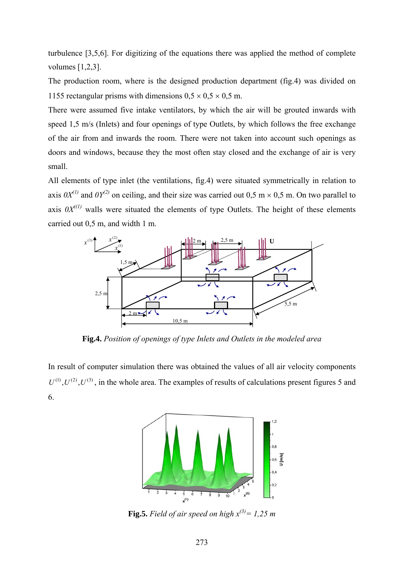turbulence [3,5,6]. For digitizing of the equations there was applied the method of complete volumes [1,2,3].

The production room, where is the designed production department (fig.4) was divided on 1155 rectangular prisms with dimensions  $0.5 \times 0.5 \times 0.5$  m.

There were assumed five intake ventilators, by which the air will be grouted inwards with speed 1,5 m/s (Inlets) and four openings of type Outlets, by which follows the free exchange of the air from and inwards the room. There were not taken into account such openings as doors and windows, because they the most often stay closed and the exchange of air is very small.

All elements of type inlet (the ventilations, fig.4) were situated symmetrically in relation to axis  $0X^{(1)}$  and  $0Y^{(2)}$  on ceiling, and their size was carried out 0,5 m × 0,5 m. On two parallel to axis  $0X^{(1)}$  walls were situated the elements of type Outlets. The height of these elements carried out 0,5 m, and width 1 m.



**Fig.4.** *Position of openings of type Inlets and Outlets in the modeled area* 

In result of computer simulation there was obtained the values of all air velocity components  $U^{(1)}$ ,  $U^{(2)}$ ,  $U^{(3)}$ , in the whole area. The examples of results of calculations present figures 5 and 6.



**Fig.5.** Field of air speed on high  $x^{(3)} = 1,25$  m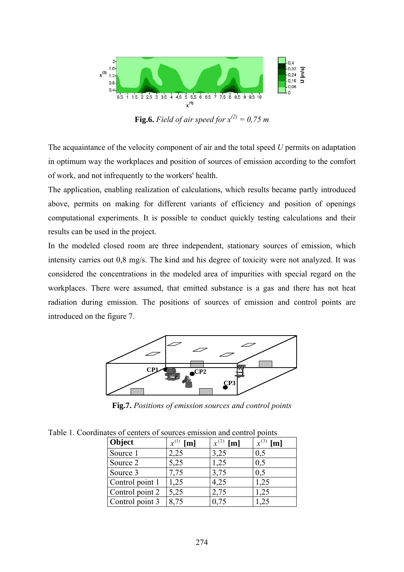

**Fig.6.** Field of air speed for  $x^{(2)} = 0.75$  m

The acquaintance of the velocity component of air and the total speed *U* permits on adaptation in optimum way the workplaces and position of sources of emission according to the comfort of work, and not infrequently to the workers' health.

The application, enabling realization of calculations, which results became partly introduced above, permits on making for different variants of efficiency and position of openings computational experiments. It is possible to conduct quickly testing calculations and their results can be used in the project.

In the modeled closed room are three independent, stationary sources of emission, which intensity carries out 0,8 mg/s. The kind and his degree of toxicity were not analyzed. It was considered the concentrations in the modeled area of impurities with special regard on the workplaces. There were assumed, that emitted substance is a gas and there has not heat radiation during emission. The positions of sources of emission and control points are introduced on the figure 7.



**Fig.7.** *Positions of emission sources and control points* 

Table 1. Coordinates of centers of sources emission and control points

| Object          | $x^{(1)}$<br>[m] | [m]  | $x^{(3)}$<br>[m] |
|-----------------|------------------|------|------------------|
| Source 1        | 2,25             | 3,25 | 0,5              |
| Source 2        | 5,25             | 1,25 | 0,5              |
| Source 3        | 7,75             | 3,75 | 0,5              |
| Control point 1 | 1,25             | 4,25 | 1,25             |
| Control point 2 | 5,25             | 2,75 | 1,25             |
| Control point 3 | 8,75             | 0,75 | $\frac{25}{2}$   |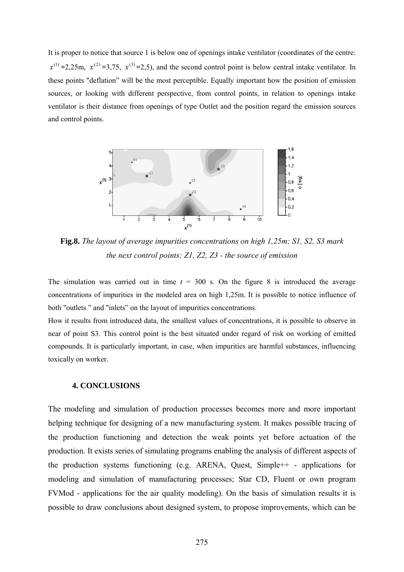It is proper to notice that source 1 is below one of openings intake ventilator (coordinates of the centre:  $x^{(1)} = 2,25$ m,  $x^{(2)} = 3,75$ ,  $x^{(3)} = 2,5$ ), and the second control point is below central intake ventilator. In these points "deflation" will be the most perceptible. Equally important how the position of emission sources, or looking with different perspective, from control points, in relation to openings intake ventilator is their distance from openings of type Outlet and the position regard the emission sources and control points.



**Fig.8.** *The layout of average impurities concentrations on high 1,25m; S1, S2, S3 mark the next control points; Z1, Z2, Z3 - the source of emission* 

The simulation was carried out in time  $t = 300$  s. On the figure 8 is introduced the average concentrations of impurities in the modeled area on high 1,25m. It is possible to notice influence of both "outlets " and "inlets" on the layout of impurities concentrations.

How it results from introduced data, the smallest values of concentrations, it is possible to observe in near of point S3. This control point is the best situated under regard of risk on working of emitted compounds. It is particularly important, in case, when impurities are harmful substances, influencing toxically on worker.

#### **4. CONCLUSIONS**

The modeling and simulation of production processes becomes more and more important helping technique for designing of a new manufacturing system. It makes possible tracing of the production functioning and detection the weak points yet before actuation of the production. It exists series of simulating programs enabling the analysis of different aspects of the production systems functioning (e.g. ARENA, Quest, Simple++ - applications for modeling and simulation of manufacturing processes; Star CD, Fluent or own program FVMod - applications for the air quality modeling). On the basis of simulation results it is possible to draw conclusions about designed system, to propose improvements, which can be